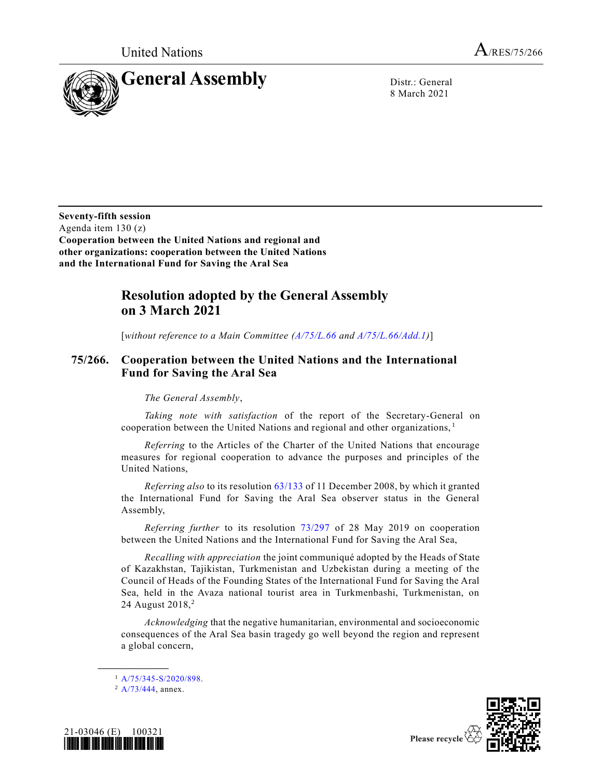United Nations  $A_{/RES/75/266}$ 



8 March 2021

**Seventy-fifth session** Agenda item 130 (z) **Cooperation between the United Nations and regional and other organizations: cooperation between the United Nations and the International Fund for Saving the Aral Sea**

## **Resolution adopted by the General Assembly on 3 March 2021**

[*without reference to a Main Committee [\(A/75/L.66](https://undocs.org/en/A/75/L.66) and [A/75/L.66/Add.1\)](https://undocs.org/en/A/75/L.66/Add.1)*]

## **75/266. Cooperation between the United Nations and the International Fund for Saving the Aral Sea**

*The General Assembly*,

*Taking note with satisfaction* of the report of the Secretary-General on cooperation between the United Nations and regional and other organizations, <sup>1</sup>

*Referring* to the Articles of the Charter of the United Nations that encourage measures for regional cooperation to advance the purposes and principles of the United Nations,

*Referring also* to its resolution [63/133](https://undocs.org/en/A/RES/63/133) of 11 December 2008, by which it granted the International Fund for Saving the Aral Sea observer status in the General Assembly,

*Referring further* to its resolution [73/297](https://undocs.org/en/A/RES/73/297) of 28 May 2019 on cooperation between the United Nations and the International Fund for Saving the Aral Sea,

*Recalling with appreciation* the joint communiqué adopted by the Heads of State of Kazakhstan, Tajikistan, Turkmenistan and Uzbekistan during a meeting of the Council of Heads of the Founding States of the International Fund for Saving the Aral Sea, held in the Avaza national tourist area in Turkmenbashi, Turkmenistan, on 24 August 2018<sup>2</sup>

*Acknowledging* that the negative humanitarian, environmental and socioeconomic consequences of the Aral Sea basin tragedy go well beyond the region and represent a global concern,

**\_\_\_\_\_\_\_\_\_\_\_\_\_\_\_\_\_\_**





 $1 \text{ A}/75/345 - S/2020/898.$ 

<sup>&</sup>lt;sup>2</sup> [A/73/444,](https://undocs.org/en/A/73/444) annex.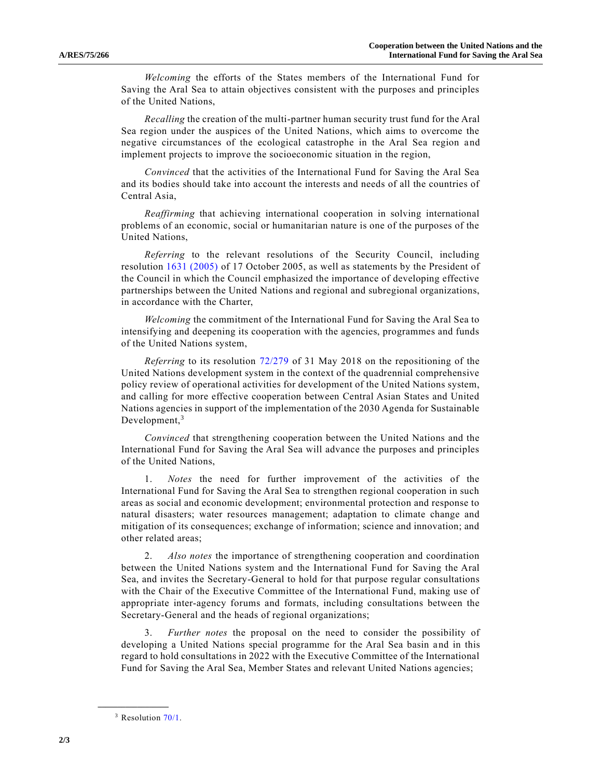*Welcoming* the efforts of the States members of the International Fund for Saving the Aral Sea to attain objectives consistent with the purposes and principles of the United Nations,

*Recalling* the creation of the multi-partner human security trust fund for the Aral Sea region under the auspices of the United Nations, which aims to overcome the negative circumstances of the ecological catastrophe in the Aral Sea region and implement projects to improve the socioeconomic situation in the region,

*Convinced* that the activities of the International Fund for Saving the Aral Sea and its bodies should take into account the interests and needs of all the countries of Central Asia,

*Reaffirming* that achieving international cooperation in solving international problems of an economic, social or humanitarian nature is one of the purposes of the United Nations,

*Referring* to the relevant resolutions of the Security Council, including resolution [1631 \(2005\)](https://undocs.org/en/S/RES/1631(2005)) of 17 October 2005, as well as statements by the President of the Council in which the Council emphasized the importance of developing effective partnerships between the United Nations and regional and subregional organizations, in accordance with the Charter,

*Welcoming* the commitment of the International Fund for Saving the Aral Sea to intensifying and deepening its cooperation with the agencies, programmes and funds of the United Nations system,

*Referring* to its resolution [72/279](https://undocs.org/en/A/RES/72/279) of 31 May 2018 on the repositioning of the United Nations development system in the context of the quadrennial comprehensive policy review of operational activities for development of the United Nations system, and calling for more effective cooperation between Central Asian States and United Nations agencies in support of the implementation of the 2030 Agenda for Sustainable Development, $3$ 

*Convinced* that strengthening cooperation between the United Nations and the International Fund for Saving the Aral Sea will advance the purposes and principles of the United Nations,

1. *Notes* the need for further improvement of the activities of the International Fund for Saving the Aral Sea to strengthen regional cooperation in such areas as social and economic development; environmental protection and response to natural disasters; water resources management; adaptation to climate change and mitigation of its consequences; exchange of information; science and innovation; and other related areas;

2. *Also notes* the importance of strengthening cooperation and coordination between the United Nations system and the International Fund for Saving the Aral Sea, and invites the Secretary-General to hold for that purpose regular consultations with the Chair of the Executive Committee of the International Fund, making use of appropriate inter-agency forums and formats, including consultations between the Secretary-General and the heads of regional organizations;

3. *Further notes* the proposal on the need to consider the possibility of developing a United Nations special programme for the Aral Sea basin and in this regard to hold consultations in 2022 with the Executive Committee of the International Fund for Saving the Aral Sea, Member States and relevant United Nations agencies;

**\_\_\_\_\_\_\_\_\_\_\_\_\_\_\_\_\_\_**

 $3$  Resolution  $70/1$ .